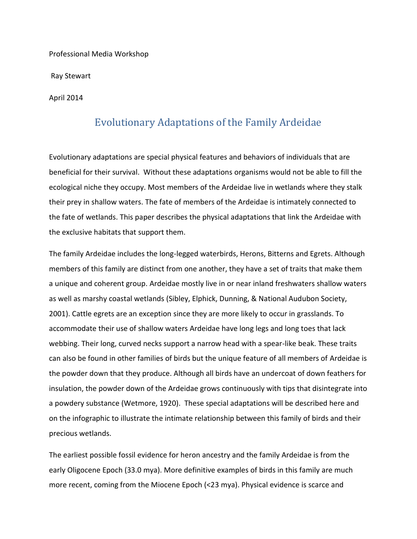Professional Media Workshop

Ray Stewart

April 2014

## Evolutionary Adaptations of the Family Ardeidae

Evolutionary adaptations are special physical features and behaviors of individuals that are beneficial for their survival. Without these adaptations organisms would not be able to fill the ecological niche they occupy. Most members of the Ardeidae live in wetlands where they stalk their prey in shallow waters. The fate of members of the Ardeidae is intimately connected to the fate of wetlands. This paper describes the physical adaptations that link the Ardeidae with the exclusive habitats that support them.

The family Ardeidae includes the long-legged waterbirds, Herons, Bitterns and Egrets. Although members of this family are distinct from one another, they have a set of traits that make them a unique and coherent group. Ardeidae mostly live in or near inland freshwaters shallow waters as well as marshy coastal wetlands (Sibley, Elphick, Dunning, & National Audubon Society, 2001). Cattle egrets are an exception since they are more likely to occur in grasslands. To accommodate their use of shallow waters Ardeidae have long legs and long toes that lack webbing. Their long, curved necks support a narrow head with a spear-like beak. These traits can also be found in other families of birds but the unique feature of all members of Ardeidae is the powder down that they produce. Although all birds have an undercoat of down feathers for insulation, the powder down of the Ardeidae grows continuously with tips that disintegrate into a powdery substance (Wetmore, 1920). These special adaptations will be described here and on the infographic to illustrate the intimate relationship between this family of birds and their precious wetlands.

The earliest possible fossil evidence for heron ancestry and the family Ardeidae is from the early Oligocene Epoch (33.0 mya). More definitive examples of birds in this family are much more recent, coming from the Miocene Epoch (<23 mya). Physical evidence is scarce and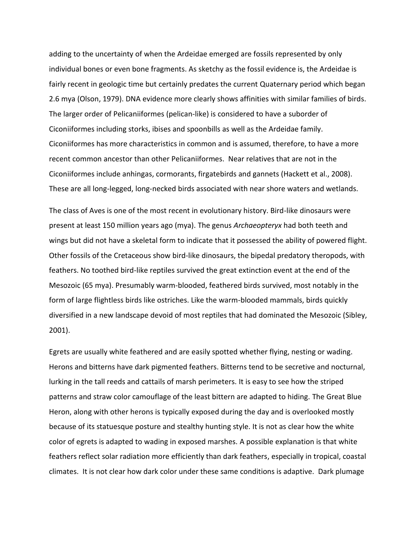adding to the uncertainty of when the Ardeidae emerged are fossils represented by only individual bones or even bone fragments. As sketchy as the fossil evidence is, the Ardeidae is fairly recent in geologic time but certainly predates the current Quaternary period which began 2.6 mya (Olson, 1979). DNA evidence more clearly shows affinities with similar families of birds. The larger order of Pelicaniiformes (pelican-like) is considered to have a suborder of Ciconiiformes including storks, ibises and spoonbills as well as the Ardeidae family. Ciconiiformes has more characteristics in common and is assumed, therefore, to have a more recent common ancestor than other Pelicaniiformes. Near relatives that are not in the Ciconiiformes include anhingas, cormorants, firgatebirds and gannets (Hackett et al., 2008). These are all long-legged, long-necked birds associated with near shore waters and wetlands.

The class of Aves is one of the most recent in evolutionary history. Bird-like dinosaurs were present at least 150 million years ago (mya). The genus *Archaeopteryx* had both teeth and wings but did not have a skeletal form to indicate that it possessed the ability of powered flight. Other fossils of the Cretaceous show bird-like dinosaurs, the bipedal predatory theropods, with feathers. No toothed bird-like reptiles survived the great extinction event at the end of the Mesozoic (65 mya). Presumably warm-blooded, feathered birds survived, most notably in the form of large flightless birds like ostriches. Like the warm-blooded mammals, birds quickly diversified in a new landscape devoid of most reptiles that had dominated the Mesozoic (Sibley, 2001).

Egrets are usually white feathered and are easily spotted whether flying, nesting or wading. Herons and bitterns have dark pigmented feathers. Bitterns tend to be secretive and nocturnal, lurking in the tall reeds and cattails of marsh perimeters. It is easy to see how the striped patterns and straw color camouflage of the least bittern are adapted to hiding. The Great Blue Heron, along with other herons is typically exposed during the day and is overlooked mostly because of its statuesque posture and stealthy hunting style. It is not as clear how the white color of egrets is adapted to wading in exposed marshes. A possible explanation is that white feathers reflect solar radiation more efficiently than dark feathers, especially in tropical, coastal climates. It is not clear how dark color under these same conditions is adaptive. Dark plumage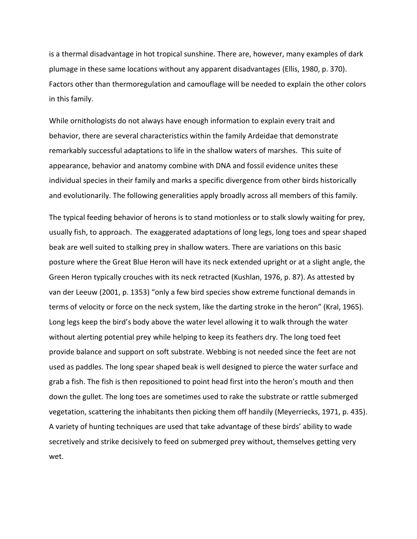is a thermal disadvantage in hot tropical sunshine. There are, however, many examples of dark plumage in these same locations without any apparent disadvantages (Ellis, 1980, p. 370). Factors other than thermoregulation and camouflage will be needed to explain the other colors in this family.

While ornithologists do not always have enough information to explain every trait and behavior, there are several characteristics within the family Ardeidae that demonstrate remarkably successful adaptations to life in the shallow waters of marshes. This suite of appearance, behavior and anatomy combine with DNA and fossil evidence unites these individual species in their family and marks a specific divergence from other birds historically and evolutionarily. The following generalities apply broadly across all members of this family.

The typical feeding behavior of herons is to stand motionless or to stalk slowly waiting for prey, usually fish, to approach. The exaggerated adaptations of long legs, long toes and spear shaped beak are well suited to stalking prey in shallow waters. There are variations on this basic posture where the Great Blue Heron will have its neck extended upright or at a slight angle, the Green Heron typically crouches with its neck retracted (Kushlan, 1976, p. 87). As attested by van der Leeuw (2001, p. 1353) "only a few bird species show extreme functional demands in terms of velocity or force on the neck system, like the darting stroke in the heron" (Kral, 1965). Long legs keep the bird's body above the water level allowing it to walk through the water without alerting potential prey while helping to keep its feathers dry. The long toed feet provide balance and support on soft substrate. Webbing is not needed since the feet are not used as paddles. The long spear shaped beak is well designed to pierce the water surface and grab a fish. The fish is then repositioned to point head first into the heron's mouth and then down the gullet. The long toes are sometimes used to rake the substrate or rattle submerged vegetation, scattering the inhabitants then picking them off handily (Meyerriecks, 1971, p. 435). A variety of hunting techniques are used that take advantage of these birds' ability to wade secretively and strike decisively to feed on submerged prey without, themselves getting very wet.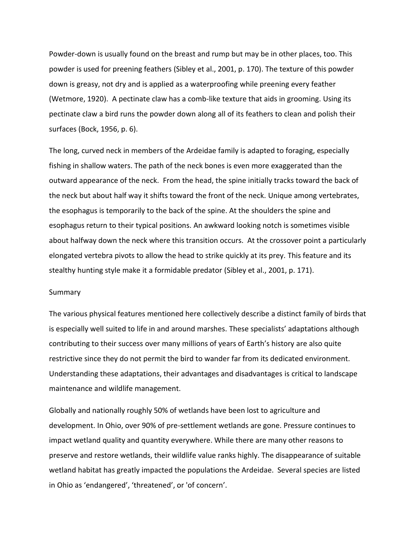Powder-down is usually found on the breast and rump but may be in other places, too. This powder is used for preening feathers (Sibley et al., 2001, p. 170). The texture of this powder down is greasy, not dry and is applied as a waterproofing while preening every feather (Wetmore, 1920). A pectinate claw has a comb-like texture that aids in grooming. Using its pectinate claw a bird runs the powder down along all of its feathers to clean and polish their surfaces (Bock, 1956, p. 6).

The long, curved neck in members of the Ardeidae family is adapted to foraging, especially fishing in shallow waters. The path of the neck bones is even more exaggerated than the outward appearance of the neck. From the head, the spine initially tracks toward the back of the neck but about half way it shifts toward the front of the neck. Unique among vertebrates, the esophagus is temporarily to the back of the spine. At the shoulders the spine and esophagus return to their typical positions. An awkward looking notch is sometimes visible about halfway down the neck where this transition occurs. At the crossover point a particularly elongated vertebra pivots to allow the head to strike quickly at its prey. This feature and its stealthy hunting style make it a formidable predator (Sibley et al., 2001, p. 171).

## Summary

The various physical features mentioned here collectively describe a distinct family of birds that is especially well suited to life in and around marshes. These specialists' adaptations although contributing to their success over many millions of years of Earth's history are also quite restrictive since they do not permit the bird to wander far from its dedicated environment. Understanding these adaptations, their advantages and disadvantages is critical to landscape maintenance and wildlife management.

Globally and nationally roughly 50% of wetlands have been lost to agriculture and development. In Ohio, over 90% of pre-settlement wetlands are gone. Pressure continues to impact wetland quality and quantity everywhere. While there are many other reasons to preserve and restore wetlands, their wildlife value ranks highly. The disappearance of suitable wetland habitat has greatly impacted the populations the Ardeidae. Several species are listed in Ohio as 'endangered', 'threatened', or 'of concern'.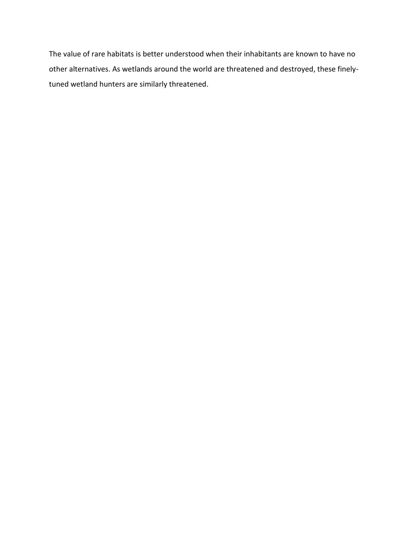The value of rare habitats is better understood when their inhabitants are known to have no other alternatives. As wetlands around the world are threatened and destroyed, these finelytuned wetland hunters are similarly threatened.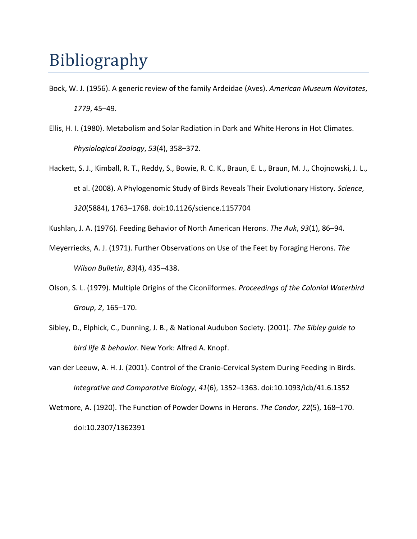## Bibliography

- Bock, W. J. (1956). A generic review of the family Ardeidae (Aves). *American Museum Novitates*, *1779*, 45–49.
- Ellis, H. I. (1980). Metabolism and Solar Radiation in Dark and White Herons in Hot Climates. *Physiological Zoology*, *53*(4), 358–372.
- Hackett, S. J., Kimball, R. T., Reddy, S., Bowie, R. C. K., Braun, E. L., Braun, M. J., Chojnowski, J. L., et al. (2008). A Phylogenomic Study of Birds Reveals Their Evolutionary History. *Science*, *320*(5884), 1763–1768. doi:10.1126/science.1157704

Kushlan, J. A. (1976). Feeding Behavior of North American Herons. *The Auk*, *93*(1), 86–94.

- Meyerriecks, A. J. (1971). Further Observations on Use of the Feet by Foraging Herons. *The Wilson Bulletin*, *83*(4), 435–438.
- Olson, S. L. (1979). Multiple Origins of the Ciconiiformes. *Proceedings of the Colonial Waterbird Group*, *2*, 165–170.
- Sibley, D., Elphick, C., Dunning, J. B., & National Audubon Society. (2001). *The Sibley guide to bird life & behavior*. New York: Alfred A. Knopf.
- van der Leeuw, A. H. J. (2001). Control of the Cranio-Cervical System During Feeding in Birds. *Integrative and Comparative Biology*, *41*(6), 1352–1363. doi:10.1093/icb/41.6.1352
- Wetmore, A. (1920). The Function of Powder Downs in Herons. *The Condor*, *22*(5), 168–170. doi:10.2307/1362391